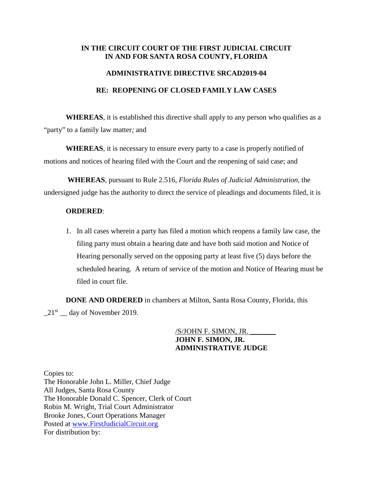## **IN THE CIRCUIT COURT OF THE FIRST JUDICIAL CIRCUIT IN AND FOR SANTA ROSA COUNTY, FLORIDA**

## **ADMINISTRATIVE DIRECTIVE SRCAD2019-04**

## **RE: REOPENING OF CLOSED FAMILY LAW CASES**

**WHEREAS**, it is established this directive shall apply to any person who qualifies as a "party" to a family law matter*;* and

**WHEREAS**, it is necessary to ensure every party to a case is properly notified of motions and notices of hearing filed with the Court and the reopening of said case; and

**WHEREAS**, pursuant to Rule 2.516, *Florida Rules of Judicial Administration*, the undersigned judge has the authority to direct the service of pleadings and documents filed, it is

## **ORDERED**:

1. In all cases wherein a party has filed a motion which reopens a family law case, the filing party must obtain a hearing date and have both said motion and Notice of Hearing personally served on the opposing party at least five (5) days before the scheduled hearing. A return of service of the motion and Notice of Hearing must be filed in court file.

**DONE AND ORDERED** in chambers at Milton, Santa Rosa County, Florida, this  $21<sup>st</sup>$  day of November 2019.

> /S/JOHN F. SIMON, JR. \_\_\_\_\_\_\_ **JOHN F. SIMON, JR. ADMINISTRATIVE JUDGE**

Copies to: The Honorable John L. Miller, Chief Judge All Judges, Santa Rosa County The Honorable Donald C. Spencer, Clerk of Court Robin M. Wright, Trial Court Administrator Brooke Jones, Court Operations Manager Posted at [www.FirstJudicialCircuit.org](http://www.firstjudicialcircuit.org/) For distribution by: